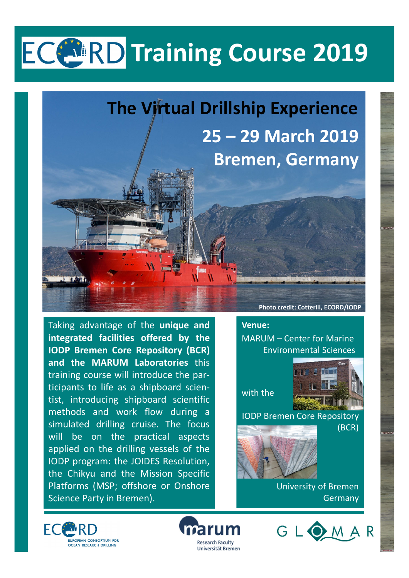## **ECGRD** Training Course 2019

### **The Virtual Drillship Experience 25 – 29 March 2019 Bremen, Germany**

Taking advantage of the **unique and integrated facilities offered by the IODP Bremen Core Repository (BCR) and the MARUM Laboratories** this training course will introduce the par‐ ticipants to life as a shipboard scien‐ tist, introducing shipboard scientific methods and work flow during a simulated drilling cruise. The focus will be on the practical aspects applied on the drilling vessels of the IODP program: the JOIDES Resolution, the Chikyu and the Mission Specific Platforms (MSP; offshore or Onshore Science Party in Bremen).

**Photo credit: Cotterill, ECORD/IODP**

### **Venue:**

MARUM – Center for Marine Environmental Sciences

with the



IODP Bremen Core Repository (BCR)



University of Bremen Germany